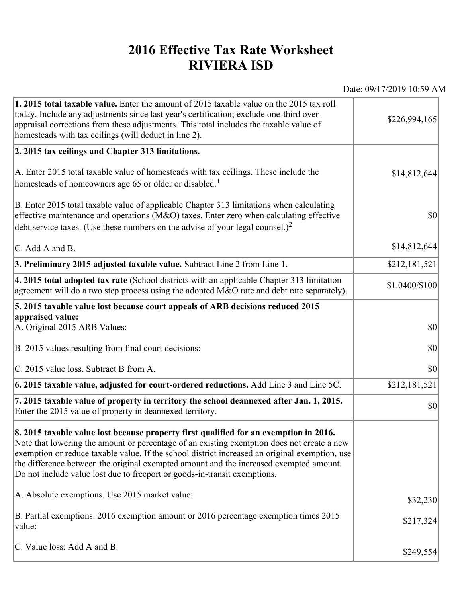## **2016 Effective Tax Rate Worksheet RIVIERA ISD**

Date: 09/17/2019 10:59 AM

| 1. 2015 total taxable value. Enter the amount of 2015 taxable value on the 2015 tax roll<br>today. Include any adjustments since last year's certification; exclude one-third over-<br>appraisal corrections from these adjustments. This total includes the taxable value of<br>homesteads with tax ceilings (will deduct in line 2).                                                                                                                       | \$226,994,165  |
|--------------------------------------------------------------------------------------------------------------------------------------------------------------------------------------------------------------------------------------------------------------------------------------------------------------------------------------------------------------------------------------------------------------------------------------------------------------|----------------|
| 2. 2015 tax ceilings and Chapter 313 limitations.                                                                                                                                                                                                                                                                                                                                                                                                            |                |
| A. Enter 2015 total taxable value of homesteads with tax ceilings. These include the<br>homesteads of homeowners age 65 or older or disabled. <sup>1</sup>                                                                                                                                                                                                                                                                                                   | \$14,812,644   |
| B. Enter 2015 total taxable value of applicable Chapter 313 limitations when calculating<br>effective maintenance and operations ( $M&O$ ) taxes. Enter zero when calculating effective<br>debt service taxes. (Use these numbers on the advise of your legal counsel.) <sup>2</sup>                                                                                                                                                                         | $ 10\rangle$   |
| C. Add A and B.                                                                                                                                                                                                                                                                                                                                                                                                                                              | \$14,812,644   |
| 3. Preliminary 2015 adjusted taxable value. Subtract Line 2 from Line 1.                                                                                                                                                                                                                                                                                                                                                                                     | \$212,181,521  |
| 4. 2015 total adopted tax rate (School districts with an applicable Chapter 313 limitation<br>agreement will do a two step process using the adopted M&O rate and debt rate separately).                                                                                                                                                                                                                                                                     | \$1.0400/\$100 |
| 5. 2015 taxable value lost because court appeals of ARB decisions reduced 2015                                                                                                                                                                                                                                                                                                                                                                               |                |
| appraised value:<br>A. Original 2015 ARB Values:                                                                                                                                                                                                                                                                                                                                                                                                             | $ 10\rangle$   |
| B. 2015 values resulting from final court decisions:                                                                                                                                                                                                                                                                                                                                                                                                         | \$0            |
| C. 2015 value loss. Subtract B from A.                                                                                                                                                                                                                                                                                                                                                                                                                       | $ 10\rangle$   |
| 6. 2015 taxable value, adjusted for court-ordered reductions. Add Line 3 and Line 5C.                                                                                                                                                                                                                                                                                                                                                                        | \$212,181,521  |
| 7. 2015 taxable value of property in territory the school deannexed after Jan. 1, 2015.<br>Enter the 2015 value of property in deannexed territory.                                                                                                                                                                                                                                                                                                          | $ 10\rangle$   |
| 8. 2015 taxable value lost because property first qualified for an exemption in 2016.<br>Note that lowering the amount or percentage of an existing exemption does not create a new<br>exemption or reduce taxable value. If the school district increased an original exemption, use<br>the difference between the original exempted amount and the increased exempted amount.<br>Do not include value lost due to freeport or goods-in-transit exemptions. |                |
| A. Absolute exemptions. Use 2015 market value:                                                                                                                                                                                                                                                                                                                                                                                                               | \$32,230       |
| B. Partial exemptions. 2016 exemption amount or 2016 percentage exemption times 2015<br>value:                                                                                                                                                                                                                                                                                                                                                               | \$217,324      |
| C. Value loss: Add A and B.                                                                                                                                                                                                                                                                                                                                                                                                                                  | \$249,554      |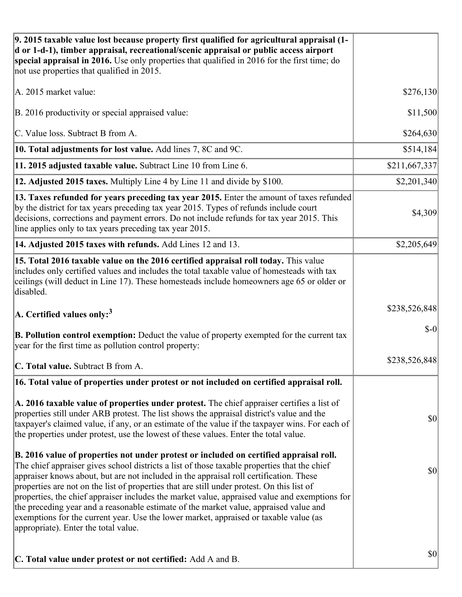| 9. 2015 taxable value lost because property first qualified for agricultural appraisal (1-<br>d or 1-d-1), timber appraisal, recreational/scenic appraisal or public access airport<br>special appraisal in 2016. Use only properties that qualified in 2016 for the first time; do<br>not use properties that qualified in 2015.                                                                                                                                                                                                                                                                                                                                                                         |               |
|-----------------------------------------------------------------------------------------------------------------------------------------------------------------------------------------------------------------------------------------------------------------------------------------------------------------------------------------------------------------------------------------------------------------------------------------------------------------------------------------------------------------------------------------------------------------------------------------------------------------------------------------------------------------------------------------------------------|---------------|
| A. 2015 market value:                                                                                                                                                                                                                                                                                                                                                                                                                                                                                                                                                                                                                                                                                     | \$276,130     |
| B. 2016 productivity or special appraised value:                                                                                                                                                                                                                                                                                                                                                                                                                                                                                                                                                                                                                                                          | \$11,500      |
| C. Value loss. Subtract B from A.                                                                                                                                                                                                                                                                                                                                                                                                                                                                                                                                                                                                                                                                         | \$264,630     |
| 10. Total adjustments for lost value. Add lines 7, 8C and 9C.                                                                                                                                                                                                                                                                                                                                                                                                                                                                                                                                                                                                                                             | \$514,184     |
| 11. 2015 adjusted taxable value. Subtract Line 10 from Line 6.                                                                                                                                                                                                                                                                                                                                                                                                                                                                                                                                                                                                                                            | \$211,667,337 |
| 12. Adjusted 2015 taxes. Multiply Line 4 by Line 11 and divide by \$100.                                                                                                                                                                                                                                                                                                                                                                                                                                                                                                                                                                                                                                  | \$2,201,340   |
| 13. Taxes refunded for years preceding tax year 2015. Enter the amount of taxes refunded<br>by the district for tax years preceding tax year 2015. Types of refunds include court<br>decisions, corrections and payment errors. Do not include refunds for tax year 2015. This<br>line applies only to tax years preceding tax year 2015.                                                                                                                                                                                                                                                                                                                                                                 | \$4,309       |
| 14. Adjusted 2015 taxes with refunds. Add Lines 12 and 13.                                                                                                                                                                                                                                                                                                                                                                                                                                                                                                                                                                                                                                                | \$2,205,649   |
| 15. Total 2016 taxable value on the 2016 certified appraisal roll today. This value<br>includes only certified values and includes the total taxable value of homesteads with tax<br>ceilings (will deduct in Line 17). These homesteads include homeowners age 65 or older or<br>disabled.                                                                                                                                                                                                                                                                                                                                                                                                               |               |
| A. Certified values only: $3$                                                                                                                                                                                                                                                                                                                                                                                                                                                                                                                                                                                                                                                                             | \$238,526,848 |
| <b>B. Pollution control exemption:</b> Deduct the value of property exempted for the current tax<br>year for the first time as pollution control property:                                                                                                                                                                                                                                                                                                                                                                                                                                                                                                                                                | $$-0$         |
| C. Total value. Subtract B from A.                                                                                                                                                                                                                                                                                                                                                                                                                                                                                                                                                                                                                                                                        | \$238,526,848 |
| 16. Total value of properties under protest or not included on certified appraisal roll.                                                                                                                                                                                                                                                                                                                                                                                                                                                                                                                                                                                                                  |               |
| A. 2016 taxable value of properties under protest. The chief appraiser certifies a list of<br>properties still under ARB protest. The list shows the appraisal district's value and the<br>taxpayer's claimed value, if any, or an estimate of the value if the taxpayer wins. For each of<br>the properties under protest, use the lowest of these values. Enter the total value.                                                                                                                                                                                                                                                                                                                        | \$0           |
| B. 2016 value of properties not under protest or included on certified appraisal roll.<br>The chief appraiser gives school districts a list of those taxable properties that the chief<br>appraiser knows about, but are not included in the appraisal roll certification. These<br>properties are not on the list of properties that are still under protest. On this list of<br>properties, the chief appraiser includes the market value, appraised value and exemptions for<br>the preceding year and a reasonable estimate of the market value, appraised value and<br>exemptions for the current year. Use the lower market, appraised or taxable value (as<br>appropriate). Enter the total value. | \$0           |
| C. Total value under protest or not certified: Add A and B.                                                                                                                                                                                                                                                                                                                                                                                                                                                                                                                                                                                                                                               | \$0           |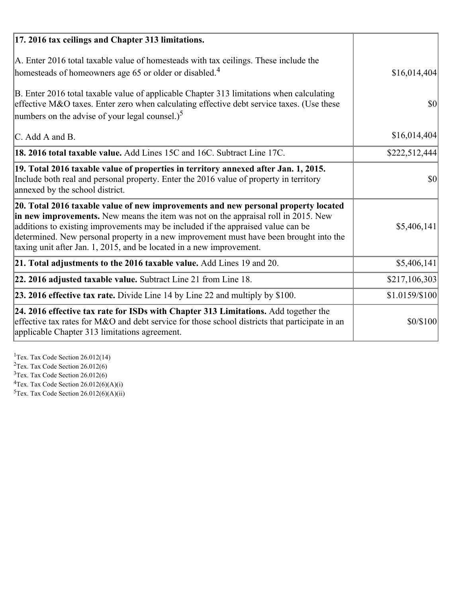| 17. 2016 tax ceilings and Chapter 313 limitations.                                                                                                                                                                                                                                                                                                                                                                             |                |
|--------------------------------------------------------------------------------------------------------------------------------------------------------------------------------------------------------------------------------------------------------------------------------------------------------------------------------------------------------------------------------------------------------------------------------|----------------|
| A. Enter 2016 total taxable value of homesteads with tax ceilings. These include the<br>homesteads of homeowners age 65 or older or disabled. <sup>4</sup>                                                                                                                                                                                                                                                                     | \$16,014,404   |
| B. Enter 2016 total taxable value of applicable Chapter 313 limitations when calculating<br>effective M&O taxes. Enter zero when calculating effective debt service taxes. (Use these<br>numbers on the advise of your legal counsel.) <sup>5</sup>                                                                                                                                                                            | \$0            |
| C. Add A and B.                                                                                                                                                                                                                                                                                                                                                                                                                | \$16,014,404   |
| 18. 2016 total taxable value. Add Lines 15C and 16C. Subtract Line 17C.                                                                                                                                                                                                                                                                                                                                                        | \$222,512,444  |
| 19. Total 2016 taxable value of properties in territory annexed after Jan. 1, 2015.<br>Include both real and personal property. Enter the 2016 value of property in territory<br>annexed by the school district.                                                                                                                                                                                                               | \$0            |
| 20. Total 2016 taxable value of new improvements and new personal property located<br>in new improvements. New means the item was not on the appraisal roll in 2015. New<br>additions to existing improvements may be included if the appraised value can be<br>determined. New personal property in a new improvement must have been brought into the<br>taxing unit after Jan. 1, 2015, and be located in a new improvement. | \$5,406,141    |
| 21. Total adjustments to the 2016 taxable value. Add Lines 19 and 20.                                                                                                                                                                                                                                                                                                                                                          | \$5,406,141    |
| 22. 2016 adjusted taxable value. Subtract Line 21 from Line 18.                                                                                                                                                                                                                                                                                                                                                                | \$217,106,303  |
| 23. 2016 effective tax rate. Divide Line 14 by Line 22 and multiply by \$100.                                                                                                                                                                                                                                                                                                                                                  | \$1.0159/\$100 |
| 24. 2016 effective tax rate for ISDs with Chapter 313 Limitations. Add together the<br>effective tax rates for M&O and debt service for those school districts that participate in an<br>applicable Chapter 313 limitations agreement.                                                                                                                                                                                         | \$0/\$100      |

<sup>1</sup>Tex. Tax Code Section 26.012(14)  $2$ Tex. Tax Code Section 26.012(6)  $3$ Tex. Tax Code Section 26.012(6)  ${}^{4}$ Tex. Tax Code Section 26.012(6)(A)(i)

 $5$ Tex. Tax Code Section 26.012(6)(A)(ii)